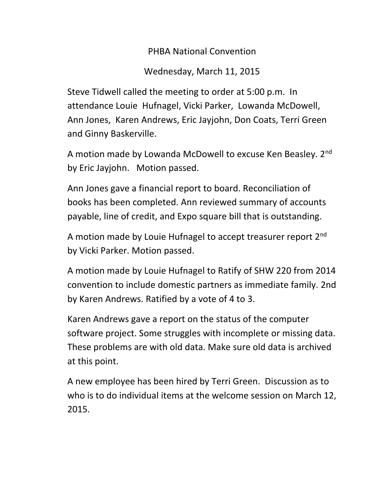PHBA National Convention

Wednesday, March 11, 2015

Steve Tidwell called the meeting to order at 5:00 p.m. In attendance Louie Hufnagel, Vicki Parker, Lowanda McDowell, Ann Jones, Karen Andrews, Eric Jayjohn, Don Coats, Terri Green and Ginny Baskerville.

A motion made by Lowanda McDowell to excuse Ken Beasley. 2nd by Eric Jayjohn. Motion passed.

Ann Jones gave a financial report to board. Reconciliation of books has been completed. Ann reviewed summary of accounts payable, line of credit, and Expo square bill that is outstanding.

A motion made by Louie Hufnagel to accept treasurer report 2<sup>nd</sup> by Vicki Parker. Motion passed.

A motion made by Louie Hufnagel to Ratify of SHW 220 from 2014 convention to include domestic partners as immediate family. 2nd by Karen Andrews. Ratified by a vote of 4 to 3.

Karen Andrews gave a report on the status of the computer software project. Some struggles with incomplete or missing data. These problems are with old data. Make sure old data is archived at this point.

A new employee has been hired by Terri Green. Discussion as to who is to do individual items at the welcome session on March 12, 2015.